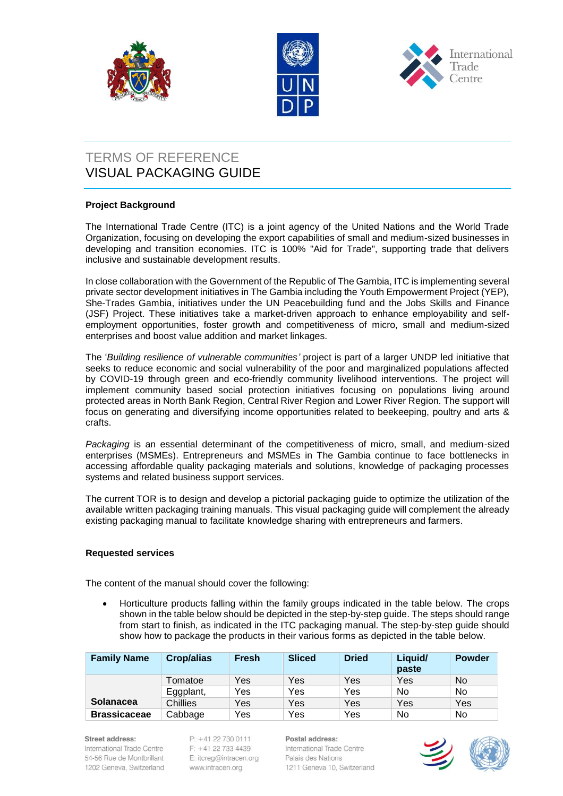





# TERMS OF REFERENCE VISUAL PACKAGING GUIDE

## **Project Background**

The International Trade Centre (ITC) is a joint agency of the United Nations and the World Trade Organization, focusing on developing the export capabilities of small and medium-sized businesses in developing and transition economies. ITC is 100% "Aid for Trade", supporting trade that delivers inclusive and sustainable development results.

In close collaboration with the Government of the Republic of The Gambia, ITC is implementing several private sector development initiatives in The Gambia including the Youth Empowerment Project (YEP), She-Trades Gambia, initiatives under the UN Peacebuilding fund and the Jobs Skills and Finance (JSF) Project. These initiatives take a market-driven approach to enhance employability and selfemployment opportunities, foster growth and competitiveness of micro, small and medium-sized enterprises and boost value addition and market linkages.

The '*Building resilience of vulnerable communities'* project is part of a larger UNDP led initiative that seeks to reduce economic and social vulnerability of the poor and marginalized populations affected by COVID-19 through green and eco-friendly community livelihood interventions. The project will implement community based social protection initiatives focusing on populations living around protected areas in North Bank Region, Central River Region and Lower River Region. The support will focus on generating and diversifying income opportunities related to beekeeping, poultry and arts & crafts.

*Packaging* is an essential determinant of the competitiveness of micro, small, and medium-sized enterprises (MSMEs). Entrepreneurs and MSMEs in The Gambia continue to face bottlenecks in accessing affordable quality packaging materials and solutions, knowledge of packaging processes systems and related business support services.

The current TOR is to design and develop a pictorial packaging guide to optimize the utilization of the available written packaging training manuals. This visual packaging guide will complement the already existing packaging manual to facilitate knowledge sharing with entrepreneurs and farmers.

### **Requested services**

The content of the manual should cover the following:

 Horticulture products falling within the family groups indicated in the table below. The crops shown in the table below should be depicted in the step-by-step guide. The steps should range from start to finish, as indicated in the ITC packaging manual. The step-by-step guide should show how to package the products in their various forms as depicted in the table below.

| <b>Family Name</b>  | Crop/alias      | <b>Fresh</b> | <b>Sliced</b> | <b>Dried</b> | Liquid/<br>paste | <b>Powder</b> |
|---------------------|-----------------|--------------|---------------|--------------|------------------|---------------|
|                     | Tomatoe         | Yes          | Yes           | Yes          | Yes              | No.           |
|                     | Eggplant,       | Yes          | Yes           | Yes          | No               | No.           |
| <b>Solanacea</b>    | <b>Chillies</b> | Yes          | Yes           | Yes          | Yes              | Yes           |
| <b>Brassicaceae</b> | Cabbage         | Yes          | Yes           | Yes          | No               | No            |

#### Street address:

International Trade Centre 54-56 Rue de Montbrillant 1202 Geneva, Switzerland  $P: +41$  22 730 0111  $F: +41227334439$ E: itcreg@intracen.org www.intracen.org

Postal address: International Trade Centre Palais des Nations 1211 Geneva 10, Switzerland